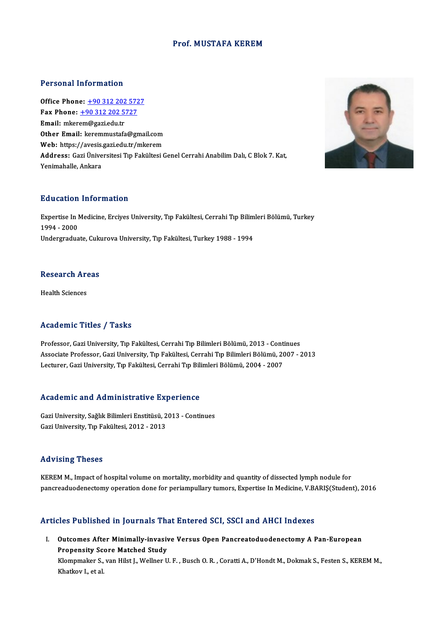#### Prof.MUSTAFA KEREM

#### Personal Information

**Personal Information<br>Office Phone: +90 312 202 5727<br>Fax Phone: +90 312 202 5727** Fax Phone: <u>+90 312 202 572</u><br>Fax Phone: <u>+90 312 202 5727</u><br>Fmail: mkorom@sori.edu.tr Office Phone: <u>+90 312 202</u><br>Fax Phone: <u>+90 312 202 5</u><br>Email: mker[em@gazi.edu.tr](tel:+90 312 202 5727)<br>Other Email: keremmustafs Fax Phone:  $\pm 90$  312 202 5727<br>Email: mkerem@gazi.edu.tr<br>Other Email: keremmustafa@gmail.com Email: mkerem@gazi.edu.tr<br>Other Email: keremmustafa@gmail.com<br>Web: https://avesis.gazi.edu.tr/mkerem<br>Addressy Cari Üniversitesi Tın Fakültesi.( Address: Gazi Üniversitesi Tıp Fakültesi Genel Cerrahi Anabilim Dalı, C Blok 7. Kat,<br>Yenimahalle. Ankara Web: https://avesis.<br>Address: Gazi Ünive<br>Yenimahalle, Ankara

#### Education Information

Education Information<br>Expertise In Medicine, Erciyes University, Tıp Fakültesi, Cerrahi Tıp Bilimleri Bölümü, Turkey<br>1994–2009 1994 - 2000<br>Undergraduate, Cukurova University, Tıp Fakültesi, Turkey 1988 - 1994 Expertise In Medicine, Erciyes University, Tıp Fakültesi, Cerrahi Tıp Bilim<br>1994 - 2000<br>Undergraduate, Cukurova University, Tıp Fakültesi, Turkey 1988 - 1994

#### **Research Areas**

Health Sciences

### Academic Titles / Tasks

Academic Titles / Tasks<br>Professor, Gazi University, Tıp Fakültesi, Cerrahi Tıp Bilimleri Bölümü, 2013 - Continues<br>Assesiste Brefessor, Cazi University, Tıp Fakültesi, Cerrahi Tıp Bilimleri Bölümü, 2007, 7 Associate Articus 7 Yusan<br>Professor, Gazi University, Tıp Fakültesi, Cerrahi Tıp Bilimleri Bölümü, 2013 - Continues<br>Associate Professor, Gazi University, Tıp Fakültesi, Cerrahi Tıp Bilimleri Bölümü, 2007 - 2013<br>Lecturer, C Professor, Gazi University, Tıp Fakültesi, Cerrahi Tıp Bilimleri Bölümü, 2013 - Cont<br>Associate Professor, Gazi University, Tıp Fakültesi, Cerrahi Tıp Bilimleri Bölümü, 2<br>Lecturer, Gazi University, Tıp Fakültesi, Cerrahi Tı

# Lecturer, Gazi University, Tip Fakultesi, Cerrani Tip Bili<br>Academic and Administrative Experience

Academic and Administrative Experience<br>Gazi University, Sağlık Bilimleri Enstitüsü, 2013 - Continues<br>Cari University, Tın Fakültesi, 2012, 2012 Gazi University, Sağlık Bilimleri Enstitüsü, 2013 - Continues<br>Gazi University, Tıp Fakültesi, 2012 - 2013

#### Advising Theses

KEREM M., Impact of hospital volume on mortality, morbidity and quantity of dissected lymph nodule for pancreaduodenectomy operation done for periampullary tumors, Expertise In Medicine, V.BARIŞ(Student), 2016

### Articles Published in Journals That Entered SCI, SSCI and AHCI Indexes

rticles Published in Journals That Entered SCI, SSCI and AHCI Indexes<br>I. Outcomes After Minimally-invasive Versus Open Pancreatoduodenectomy A Pan-European<br>Proponsity Seare Matched Study Propensity Score Minimally-invasive<br>Propensity Score Matched Study<br>Mammakar Stuar Hilst L. Wellner H Outcomes After Minimally-invasive Versus Open Pancreatoduodenectomy A Pan-European<br>Propensity Score Matched Study<br>Klompmaker S., van Hilst J., Wellner U. F. , Busch O. R. , Coratti A., D'Hondt M., Dokmak S., Festen S., KER Propensity Score Matched Study<br>Klompmaker S., van Hilst J., Wellner U. F. , Busch O. R. , Coratti A., D'Hondt M., Dokmak S., Festen S., KEREM M.,<br>Khatkov I., et al.

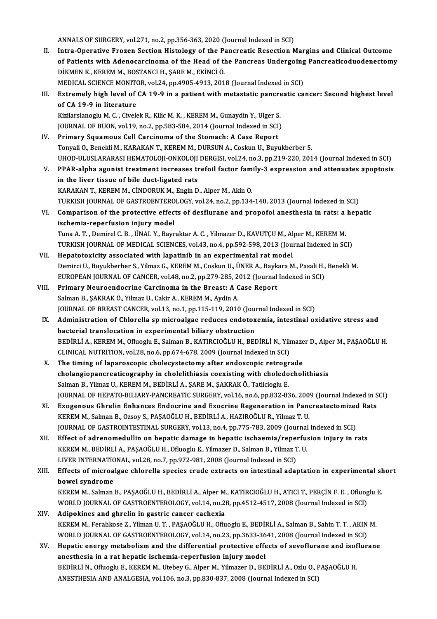ANNALS OF SURGERY, vol.271, no.2, pp.356-363, 2020 (Journal Indexed in SCI)

II. Intra-Operative Frozen Section Histology of the Pancreatic Resection Margins and Clinical Outcome ANNALS OF SURGERY, vol.271, no.2, pp.356-363, 2020 (Journal Indexed in SCI)<br>Intra-Operative Frozen Section Histology of the Pancreatic Resection Margins and Clinical Outcome<br>of Patients with Adenocarcinoma of the Head of t Intra-Operative Frozen Section Histology of the Pa<br>of Patients with Adenocarcinoma of the Head of th<br>DİKMEN K., KEREM M., BOSTANCI H., ŞARE M., EKİNCİ Ö.<br>MEDICAL SCIENCE MONITOR xal 24 np.4995-4913-291 of Patients with Adenocarcinoma of the Head of the Pancreas Undergoing<br>DİKMEN K., KEREM M., BOSTANCI H., ŞARE M., EKİNCİ Ö.<br>MEDICAL SCIENCE MONITOR, vol.24, pp.4905-4913, 2018 (Journal Indexed in SCI)<br>Extromaly birb loval DIKMEN K., KEREM M., BOSTANCI H., ŞARE M., EKİNCİ Ö.<br>MEDICAL SCIENCE MONITOR, vol.24, pp.4905-4913, 2018 (Journal Indexed in SCI)<br>III. Extremely high level of CA 19-9 in a patient with metastatic pancreatic cancer: Second MEDICAL SCIENCE MONITOR, vol.24, pp.4905-4913, 2018 (Journal Indexed in SCI) Kizilarslanoglu M. C., Civelek R., Kilic M. K., KEREM M., Gunaydin Y., Ulger S. of CA 19-9 in literature<br>Kizilarslanoglu M. C. , Civelek R., Kilic M. K. , KEREM M., Gunaydin Y., Ulger S.<br>JOURNAL OF BUON, vol.19, no.2, pp.583-584, 2014 (Journal Indexed in SCI)<br>Primary Sauamous Call Carsinoma of the Sta Kizilarslanoglu M. C., Civelek R., Kilic M. K., KEREM M., Gunaydin Y., Ulger S<br>JOURNAL OF BUON, vol.19, no.2, pp.583-584, 2014 (Journal Indexed in SCI<br>IV. Primary Squamous Cell Carcinoma of the Stomach: A Case Report<br>Topyg IV. Primary Squamous Cell Carcinoma of the Stomach: A Case Report<br>Tonyali O., Benekli M., KARAKAN T., KEREM M., DURSUN A., Coskun U., Buyukberber S. UHOD-ULUSLARARASI HEMATOLOJI-ONKOLOJI DERGISI, vol.24, no.3, pp.219-220, 2014 (Journal Indexed in SCI) V. PPAR-alpha agonist treatment increases trefoil factor family-3 expression and attenuates apoptosis in the liver tissue of bile duct-ligated rats KARAKAN T., KEREM M., CİNDORUK M., Engin D., Alper M., Akin O. in the liver tissue of bile duct-ligated rats<br>KARAKAN T., KEREM M., CINDORUK M., Engin D., Alper M., Akin O.<br>TURKISH JOURNAL OF GASTROENTEROLOGY, vol.24, no.2, pp.134-140, 2013 (Journal Indexed in SCI)<br>Comparisor of the pr KARAKAN T., KEREM M., CİNDORUK M., Engin D., Alper M., Akin O.<br>TURKISH JOURNAL OF GASTROENTEROLOGY, vol.24, no.2, pp.134-140, 2013 (Journal Indexed in SCI)<br>VI. Comparison of the protective effects of desflurane and propofo TURKISH JOURNAL OF GASTROENTERO<br>Comparison of the protective effec<br>ischemia-reperfusion injury model<br>Tune A.T. Demirel C.B. (INAL Y. Berm Comparison of the protective effects of desflurane and propofol anesthesia in rats: a<br>ischemia-reperfusion injury model<br>Tuna A.T., Demirel C.B., ÜNAL Y., Bayraktar A.C., Yilmazer D., KAVUTÇU M., Alper M., KEREM M.<br>TURKISH ischemia-reperfusion injury model<br>Tuna A. T. , Demirel C. B. , ÜNAL Y., Bayraktar A. C. , Yilmazer D., KAVUTÇU M., Alper M., KEREM M.<br>TURKISH JOURNAL OF MEDICAL SCIENCES, vol.43, no.4, pp.592-598, 2013 (Journal Indexed in Tuna A. T., Demirel C. B., ÜNAL Y., Bayraktar A. C., Yilmazer D., KAVUTÇU M., Al<br>TURKISH JOURNAL OF MEDICAL SCIENCES, vol.43, no.4, pp.592-598, 2013 (Jou:<br>VII. Hepatotoxicity associated with lapatinib in an experimental ra TURKISH JOURNAL OF MEDICAL SCIENCES, vol.43, no.4, pp.592-598, 2013 (Journal Indexed in SCI)<br>Hepatotoxicity associated with lapatinib in an experimental rat model<br>Demirci U., Buyukberber S., Yilmaz G., KEREM M., Coskun U., Hepatotoxicity associated with lapatinib in an experimental rat model<br>Demirci U., Buyukberber S., Yilmaz G., KEREM M., Coskun U., ÜNER A., Baykara M., Pasali H.,<br>EUROPEAN JOURNAL OF CANCER, vol.48, no.2, pp.279-285, 2012 ( Demirci U., Buyukberber S., Yilmaz G., KEREM M., Coskun U., ÜNER A., Baykara M., Pasali H., Benekli M.<br>EUROPEAN JOURNAL OF CANCER, vol.48, no.2, pp.279-285, 2012 (Journal Indexed in SCI)<br>VIII. Primary Neuroendocrine Carcin EUROPEAN JOURNAL OF CANCER, vol.48, no.2, pp.279-285, 2<br>Primary Neuroendocrine Carcinoma in the Breast: A C<br>Salman B., ŞAKRAK Ö., Yilmaz U., Cakir A., KEREM M., Aydin A.<br>JOUPNAL OF PREAST CANCER vol.13, no.1, nn.115, 119, Primary Neuroendocrine Carcinoma in the Breast: A Case Report<br>Salman B., ŞAKRAK Ö., Yilmaz U., Cakir A., KEREM M., Aydin A.<br>JOURNAL OF BREAST CANCER, vol.13, no.1, pp.115-119, 2010 (Journal Indexed in SCI)<br>Administration o IX. Administration of Chlorella spmicroalgae reduces endotoxemia, intestinal oxidative stress and<br>bacterial translocation in experimental biliary obstruction JOURNAL OF BREAST CANCER, vol.13, no.1, pp.115-119, 2010 (Jou:<br>Administration of Chlorella sp microalgae reduces endotox<br>bacterial translocation in experimental biliary obstruction<br>PEDIPLIA, KEREMM, Ofluegh E. Salman B. KA Administration of Chlorella sp microalgae reduces endotoxemia, intestinal oxidative stress and<br>bacterial translocation in experimental biliary obstruction<br>BEDİRLİ A., KEREM M., Ofluoglu E., Salman B., KATIRCIOĞLU H., BEDİR bacterial translocation in experimental biliary obstruction<br>BEDİRLİ A., KEREM M., Ofluoglu E., Salman B., KATIRCIOĞLU H., BEDİRLİ N., Yili<br>CLINICAL NUTRITION, vol.28, no.6, pp.674-678, 2009 (Journal Indexed in SCI)<br>The tim BEDİRLİ A., KEREM M., Ofluoglu E., Salman B., KATIRCIOĞLU H., BEDİRLİ N., Yilmaze<br>CLINICAL NUTRITION, vol.28, no.6, pp.674-678, 2009 (Journal Indexed in SCI)<br>X. The timing of laparoscopic cholecystectomy after endoscopic r CLINICAL NUTRITION, vol.28, no.6, pp.674-678, 2009 (Journal Indexed in SCI)<br>The timing of laparoscopic cholecystectomy after endoscopic retrograde<br>cholangiopancreaticography in cholelithiasis coexisting with choledocholith The timing of laparoscopic cholecystectomy after endoscopic retrogr<br>cholangiopancreaticography in cholelithiasis coexisting with choledo<br>Salman B., Yilmaz U., KEREM M., BEDİRLİ A., ŞARE M., ŞAKRAK Ö., Tatlicioglu E.<br>JOUPMA cholangiopancreaticography in cholelithiasis coexisting with choledocholithiasis<br>Salman B., Yilmaz U., KEREM M., BEDİRLİ A., ŞARE M., ŞAKRAK Ö., Tatlicioglu E.<br>JOURNAL OF HEPATO-BILIARY-PANCREATIC SURGERY, vol.16, no.6, pp Salman B., Yilmaz U., KEREM M., BEDİRLİ A., ŞARE M., ŞAKRAK Ö., Tatlicioglu E.<br>JOURNAL OF HEPATO-BILIARY-PANCREATIC SURGERY, vol.16, no.6, pp.832-836, 2009 (Journal Indexed in S<br>XI. Exogenous Ghrelin Enhances Endocrine and JOURNAL OF HEPATO-BILIARY-PANCREATIC SURGERY, vol.16, no.6, pp.832-836, 200<br>Exogenous Ghrelin Enhances Endocrine and Exocrine Regeneration in Pano<br>KEREM M., Salman B., Ozsoy S., PAŞAOĞLU H., BEDİRLİ A., HAZIROĞLU R., Yilma XI. Exogenous Ghrelin Enhances Endocrine and Exocrine Regeneration in Pancreatectomized Rats<br>KEREM M., Salman B., Ozsoy S., PAŞAOĞLU H., BEDİRLİ A., HAZIROĞLU R., Yilmaz T. U.<br>JOURNAL OF GASTROINTESTINAL SURGERY, vol.13, n XII. Effect of adrenomedullin on hepatic damage in hepatic ischaemia/reperfusion injury in rats JOURNAL OF GASTROINTESTINAL SURGERY, vol.13, no.4, pp.775-783, 2009 (Journal<br>Effect of adrenomedullin on hepatic damage in hepatic ischaemia/reperfu:<br>KEREM M., BEDİRLİ A., PAŞAOĞLU H., Ofluoglu E., Yilmazer D., Salman B., Effect of adrenomedullin on hepatic damage in hepatic ischaemia/reper<br>KEREM M., BEDİRLİ A., PAŞAOĞLU H., Ofluoglu E., Yilmazer D., Salman B., Yilmaz T<br>LIVER INTERNATIONAL, vol.28, no.7, pp.972-981, 2008 (Journal Indexed in KEREM M., BEDİRLİ A., PAŞAOĞLU H., Ofluoglu E., Yilmazer D., Salman B., Yilmaz T. U.<br>LIVER INTERNATIONAL, vol.28, no.7, pp.972-981, 2008 (Journal Indexed in SCI)<br>XIII. Effects of microalgae chlorella species crude extr LIVER INTERNATIC<br>Effects of microa<br>bowel syndrome<br><sup>VEDEM M. Salman</sup> Effects of microalgae chlorella species crude extracts on intestinal adaptation in experimental sl<br>bowel syndrome<br>KEREM M., Salman B., PAŞAOĞLU H., BEDİRLİ A., Alper M., KATIRCIOĞLU H., ATICI T., PERÇİN F. E. , Ofluoglu E. bowel syndrome<br>KEREM M., Salman B., PAŞAOĞLU H., BEDİRLİ A., Alper M., KATIRCIOĞLU H., ATICI T., PERÇİN F. E. , Ofluoglu E.<br>WORLD JOURNAL OF GASTROENTEROLOGY, vol.14, no.28, pp.4512-4517, 2008 (Journal Indexed in SCI) XIV. Adipokines and ghrelin in gastric cancer cachexia WORLD JOURNAL OF GASTROENTEROLOGY, vol.14, no.28, pp.4512-4517, 2008 (Journal Indexed in SCI)<br><mark>Adipokines and ghrelin in gastric cancer cachexia</mark><br>KEREM M., Ferahkose Z., Yilman U.T. , PAŞAOĞLU H., Ofluoglu E., BEDİRLİ A., Adipokines and ghrelin in gastric cancer cachexia<br>KEREM M., Ferahkose Z., Yilman U. T. , PAŞAOĞLU H., Ofluoglu E., BEDİRLİ A., Salman B., Sahin T. T. , AKIN<br>WORLD JOURNAL OF GASTROENTEROLOGY, vol.14, no.23, pp.3633-3641, 2 KEREM M., Ferahkose Z., Yilman U. T. , PAŞAOĞLU H., Ofluoglu E., BEDİRLİ A., Salman B., Sahin T. T. , AKIN M.<br>WORLD JOURNAL OF GASTROENTEROLOGY, vol.14, no.23, pp.3633-3641, 2008 (Journal Indexed in SCI)<br>XV. Hepatic energy WORLD JOURNAL OF GASTROENTEROLOGY, vol.14, no.23, pp.3633-3641, 2008 (Journal Indexed in SCI)<br>Hepatic energy metabolism and the differential protective effects of sevoflurane and isoflur<br>anesthesia in a rat hepatic ischemi XV. Hepatic energy metabolism and the differential protective effects of sevoflurane and isoflurane

ANESTHESIA AND ANALGESIA, vol.106, no.3, pp.830-837, 2008 (Journal Indexed in SCI)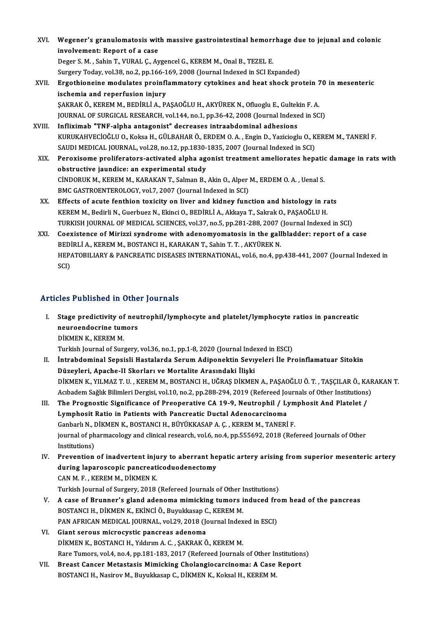- XVI. Wegener's granulomatosis with massive gastrointestinal hemorrhage due to jejunal and colonic<br>invelvement: Benert of a sese **Wegener's granulomatosis wit**<br>involvement: Report of a case<br>Peger S.M., Sobin T. WIPAL C. Av involvement: Report of a case<br>Deger S. M. , Sahin T., VURAL C., Aygencel G., KEREM M., Onal B., TEZEL E. involvement: Report of a case<br>Deger S. M. , Sahin T., VURAL Ç., Aygencel G., KEREM M., Onal B., TEZEL E.<br>Surgery Today, vol.38, no.2, pp.166-169, 2008 (Journal Indexed in SCI Expanded)<br>Engethioneine medulates preinflammate Deger S. M. , Sahin T., VURAL Ç., Aygencel G., KEREM M., Onal B., TEZEL E.<br>Surgery Today, vol.38, no.2, pp.166-169, 2008 (Journal Indexed in SCI Expanded)<br>XVII. Ergothioneine modulates proinflammatory cytokines and heat sh Surgery Today, vol.38, no.2, pp.166-1<br>Ergothioneine modulates proinfl<br>ischemia and reperfusion injury<br>SAKRAKÖ KEREM M. REDIRLİA R. Ergothioneine modulates proinflammatory cytokines and heat shock protein 7<br>ischemia and reperfusion injury<br>ŞAKRAK Ö., KEREM M., BEDİRLİ A., PAŞAOĞLU H., AKYÜREK N., Ofluoglu E., Gultekin F. A.<br>JOUPMAL OE SUBCICAL BESEARCH ischemia and reperfusion injury<br>ŞAKRAK Ö., KEREM M., BEDİRLİ A., PAŞAOĞLU H., AKYÜREK N., Ofluoglu E., Gultekin F. A.<br>JOURNAL OF SURGICAL RESEARCH, vol.144, no.1, pp.36-42, 2008 (Journal Indexed in SCI)
- XVIII. Infliximab "TNF-alpha antagonist" decreases intraabdominal adhesions JOURNAL OF SURGICAL RESEARCH, vol.144, no.1, pp.36-42, 2008 (Journal Indexed in SCI)<br>I<mark>nfliximab "TNF-alpha antagonist" decreases intraabdominal adhesions</mark><br>KURUKAHVECİOĞLU O., Koksa H., GÜLBAHAR Ö., ERDEM O. A. , Engin D., Infliximab "TNF-alpha antagonist" decreases intraabdominal adhesions<br>KURUKAHVECİOĞLU O., Koksa H., GÜLBAHAR Ö., ERDEM O. A. , Engin D., Yazicioglu O., K<br>SAUDI MEDICAL JOURNAL, vol.28, no.12, pp.1830-1835, 2007 (Journal Ind KURUKAHVECİOĞLU O., Koksa H., GÜLBAHAR Ö., ERDEM O. A. , Engin D., Yazicioglu O., KEREM M., TANERİ F.<br>SAUDI MEDICAL JOURNAL, vol.28, no.12, pp.1830-1835, 2007 (Journal Indexed in SCI)<br>XIX. Peroxisome proliferators-activate
	- SAUDI MEDICAL JOURNAL, vol.28, no.12, pp.1830-1835, 2007 (Journal Indexed in SCI)<br>XIX. Peroxisome proliferators-activated alpha agonist treatment ameliorates hepatic damage in rats with<br>obstructive jaundice: an experimenta Peroxisome proliferators-activated alpha agonist treatment ameliorates hepation<br>obstructive jaundice: an experimental study<br>CİNDORUK M., KEREM M., KARAKAN T., Salman B., Akin O., Alper M., ERDEM O. A. , Uenal S.<br>PMC CASTRO obstructive jaundice: an experimental study<br>CİNDORUK M., KEREM M., KARAKAN T., Salman B., Akin O., Alper<br>BMC GASTROENTEROLOGY, vol.7, 2007 (Journal Indexed in SCI)<br>Effects of equte fonthion toujeity on liver and kidney fun CINDORUK M., KEREM M., KARAKAN T., Salman B., Akin O., Alper M., ERDEM O. A., Uenal S.<br>BMC GASTROENTEROLOGY, vol.7, 2007 (Journal Indexed in SCI)<br>XX. Effects of acute fenthion toxicity on liver and kidney function and hist
	- BMC GASTROENTEROLOGY, vol.7, 2007 (Journal Indexed in SCI)<br>Effects of acute fenthion toxicity on liver and kidney function and histology in rats<br>KEREM M., Bedirli N., Guerbuez N., Ekinci O., BEDİRLİ A., Akkaya T., Sakrak O TURKISHJOURNALOFMEDICAL SCIENCES,vol.37,no.5,pp.281-288,2007 (Journal Indexed inSCI)
	- XXI. Coexistence of Mirizzi syndrome with adenomyomatosis in the gallbladder: report of a case TURKISH JOURNAL OF MEDICAL SCIENCES, vol.37, no.5, pp.281-288, 2007 (<br>Coexistence of Mirizzi syndrome with adenomyomatosis in the gall<br>BEDİRLİ A., KEREM M., BOSTANCI H., KARAKAN T., Sahin T. T. , AKYÜREK N.<br>HERATOPU JARV & HEPATOBILIARY & PANCREATIC DISEASES INTERNATIONAL, vol.6, no.4, pp.438-441, 2007 (Journal Indexed in SCI) BEDI<br>HEP4<br>SCI)

# Articles Published in Other Journals

rticles Published in Other Journals<br>I. Stage predictivity of neutrophil/lymphocyte and platelet/lymphocyte ratios in pancreatic<br>neuroondesuine tumers stes a dishemed in teme<br>Stage predictivity of neu<br>neuroendocrine tumors<br>DigMEN V, VEREM M Stage predictivity of<br>neuroendocrine tum<br>DİKMEN K., KEREM M.<br>Turkich Journal of Sure neuroendocrine tumors<br>DİKMEN K., KEREM M.<br>Turkish Journal of Surgery, vol.36, no.1, pp.1-8, 2020 (Journal Indexed in ESCI)<br>İntrahdominal Sangiali Hastalarda Sarum Adinonaltin Sauvralari İle Pr

- DİKMEN K., KEREM M.<br>Turkish Journal of Surgery, vol.36, no.1, pp.1-8, 2020 (Journal Indexed in ESCI)<br>II. İntrabdominal Sepsisli Hastalarda Serum Adiponektin Sevıyeleri İle Proinflamatuar Sitokin<br>Düzeyleri, Apache-II Sk Turkish Journal of Surgery, vol.36, no.1, pp.1-8, 2020 (Journal Inde<br>İntrabdominal Sepsisli Hastalarda Serum Adiponektin Sevıy<br>Düzeyleri, Apache-II Skorları ve Mortalite Arasındaki İlişki<br>DİKMEN K. YU MAZ T.U., KEREM M. PO İntrabdominal Sepsisli Hastalarda Serum Adiponektin Sevıyeleri İle Proinflamatuar Sitokin<br>Düzeyleri, Apache-II Skorları ve Mortalite Arasındaki İlişki<br>DİKMEN K., YILMAZ T. U. , KEREM M., BOSTANCI H., UĞRAŞ DİKMEN A., PAŞAO Düzeyleri, Apache-II Skorları ve Mortalite Arasındaki İlişki<br>DİKMEN K., YILMAZ T. U. , KEREM M., BOSTANCI H., UĞRAŞ DİKMEN A., PAŞAOĞLU Ö. T. , TAŞÇILAR Ö., KAF<br>Acıbadem Sağlık Bilimleri Dergisi, vol.10, no.2, pp.288-294, DİKMEN K., YILMAZ T. U. , KEREM M., BOSTANCI H., UĞRAŞ DİKMEN A., PAŞAOĞLU Ö. T. , TAŞÇILAR Ö., KA<br>Acıbadem Sağlık Bilimleri Dergisi, vol.10, no.2, pp.288-294, 2019 (Refereed Journals of Other Institutions<br>III. The Prognos
- Acıbadem Sağlık Bilimleri Dergisi, vol.10, no.2, pp.288-294, 2019 (Refereed Jo<sup>.</sup><br>The Prognostic Significance of Preoperative CA 19-9, Neutrophil / L<sub>.</sub><br>Lymphosit Ratio in Patients with Pancreatic Ductal Adenocarcinoma<br>Can The Prognostic Significance of Preoperative CA 19-9, Neutrophil / Lym<br>Lymphosit Ratio in Patients with Pancreatic Ductal Adenocarcinoma<br>Ganbarlı N., DİKMEN K., BOSTANCI H., BÜYÜKKASAP A.Ç., KEREM M., TANERİ F.<br>journal of p Lymphosit Ratio in Patients with Pancreatic Ductal Adenocarcinoma<br>Ganbarlı N., DİKMEN K., BOSTANCI H., BÜYÜKKASAP A. Ç. , KEREM M., TANERİ F.<br>journal of pharmacology and clinical research, vol.6, no.4, pp.555692, 2018 (Ref Ganbarlı N., DİKMEN K., BOSTANCI H., BÜYÜKKASAP A. Ç., KEREM M., TANERİ F. Iournal of pharmacology and clinical research, vol.6, no.4, pp.555692, 2018 (Refereed Journals of Other<br>Institutions)<br>IV. Prevention of inadvertent injury to aberrant hepatic artery arising from superior mesenteric artery<br>
- Institutions)<br>Prevention of inadvertent injury to aberrant he<br>during laparoscopic pancreaticoduodenectomy<br>CANM E. KEREMM DİKMENK during laparoscopic pancreaticoduodenectomy<br>CAN M.F., KEREM M., DİKMEN K. Turkish Journal of Surgery, 2018 (Refereed Journals of Other Institutions) CAN M. F., KEREM M., DİKMEN K.<br>Turkish Journal of Surgery, 2018 (Refereed Journals of Other Institutions)<br>V. A case of Brunner's gland adenoma mimicking tumors induced from head of the pancreas<br>POSTANCLH, DİKMEN K. EKİNCİ
- BOSTANCI H., DİKMEN K., EKİNCİ Ö., Buyukkasap C., KEREM M. A case of Brunner's gland adenoma mimicking tumors induced from<br>BOSTANCI H., DİKMEN K., EKİNCİ Ö., Buyukkasap C., KEREM M.<br>PAN AFRICAN MEDICAL JOURNAL, vol.29, 2018 (Journal Indexed in ESCI)<br>Ciant seneve misrosyutis pensus PAN AFRICAN MEDICAL JOURNAL, vol.29, 2018 (Journal Indexed in ESCI)
- VI. Giant serous microcystic pancreas adenoma<br>DİKMEN K., BOSTANCI H., Yıldırım A. C., ŞAKRAK Ö., KEREM M. Giant serous microcystic pancreas adenoma<br>DİKMEN K., BOSTANCI H., Yıldırım A. C. , ŞAKRAK Ö., KEREM M.<br>Rare Tumors, vol.4, no.4, pp.181-183, 2017 (Refereed Journals of Other Institutions)<br>Presst Canser Metestesis Mimisking DİKMEN K., BOSTANCI H., Yıldırım A. C. , ŞAKRAK Ö., KEREM M.<br>Rare Tumors, vol.4, no.4, pp.181-183, 2017 (Refereed Journals of Other Institution<br>VII. Breast Cancer Metastasis Mimicking Cholangiocarcinoma: A Case Report<br>ROST
- Rare Tumors, vol.4, no.4, pp.181-183, 2017 (Refereed Journals of Other In<br>Breast Cancer Metastasis Mimicking Cholangiocarcinoma: A Case<br>BOSTANCI H., Nasirov M., Buyukkasap C., DİKMEN K., Koksal H., KEREM M.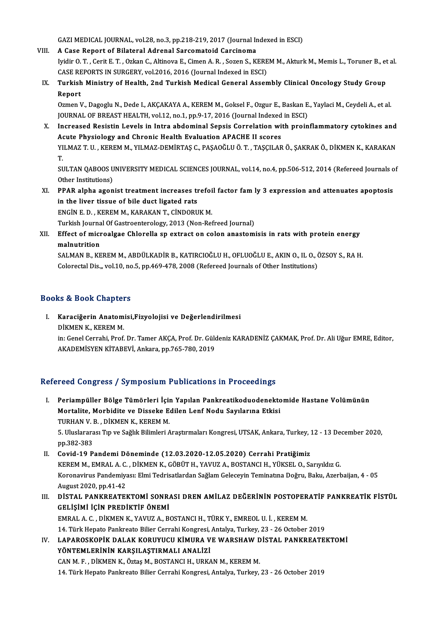GAZI MEDICAL JOURNAL, vol.28, no.3, pp.218-219, 2017 (Journal Indexed in ESCI)<br>A Gase Benert of Bilateral Adrenal Sersemateid Gensineme

GAZI MEDICAL JOURNAL, vol.28, no.3, pp.218-219, 2017 (Journal In<br>VIII. A Case Report of Bilateral Adrenal Sarcomatoid Carcinoma<br>Inidin O.T., Corit E.T., Orkan C., Altinove E. Cimen A. B., Soren S. M

GAZI MEDICAL JOURNAL, vol.28, no.3, pp.218-219, 2017 (Journal Indexed in ESCI)<br><mark>A Case Report of Bilateral Adrenal Sarcomatoid Carcinoma</mark><br>Iyidir O. T. , Cerit E. T. , Ozkan C., Altinova E., Cimen A. R. , Sozen S., KEREM M. A Case Report of Bilateral Adrenal Sarcomatoid Carcinoma<br>Iyidir O. T. , Cerit E. T. , Ozkan C., Altinova E., Cimen A. R. , Sozen S., KERE<br>CASE REPORTS IN SURGERY, vol.2016, 2016 (Journal Indexed in ESCI)<br>Turkish Ministry o CASE REPORTS IN SURGERY, vol.2016, 2016 (Journal Indexed in ESCI)

IX. Turkish Ministry of Health, 2nd Turkish Medical General Assembly Clinical Oncology Study Group Turkish Ministry of Health, 2nd Turkish Medical General Assembly Clinical Oncology Study Group<br>Report<br>Ozmen V., Dagoglu N., Dede I., AKÇAKAYA A., KEREM M., Goksel F., Ozgur E., Baskan E., Yaylaci M., Ceydeli A., et al.<br>JOU

Report<br>Ozmen V., Dagoglu N., Dede I., AKÇAKAYA A., KEREM M., Goksel F., Ozgur E., Baskan E<br>JOURNAL OF BREAST HEALTH, vol.12, no.1, pp.9-17, 2016 (Journal Indexed in ESCI)<br>Insreased Besistin Levels in Intre abdominal Sensis

X. Increased Resistin Levels in Intra abdominal Sepsis Correlation with proinflammatory cytokines and Acute Physiology and Chronic Health Evaluation APACHE II scores Increased Resistin Levels in Intra abdominal Sepsis Correlation with proinflammatory cytokines and<br>Acute Physiology and Chronic Health Evaluation APACHE II scores<br>YILMAZ T. U. , KEREM M., YILMAZ-DEMİRTAŞ C., PAŞAOĞLU Ö. T. Ad<br>YI<br>T. YILMAZ T. U. , KEREM M., YILMAZ-DEMİRTAŞ C., PAŞAOĞLU Ö. T. , TAŞÇILAR Ö., ŞAKRAK Ö., DİKMEN K., KARAKAN<br>T.<br>SULTAN QABOOS UNIVERSITY MEDICAL SCIENCES JOURNAL, vol.14, no.4, pp.506-512, 2014 (Refereed Journals of<br>Other Inst

T.<br>SULTAN QABOOS UNIVERSITY MEDICAL SCIENCES JOURNAL, vol.14, no.4, pp.506-512, 2014 (Refereed Journals of<br>Other Institutions) SULTAN QABOOS UNIVERSITY MEDICAL SCIENCES JOURNAL, vol.14, no.4, pp.506-512, 2014 (Refereed Journals of the Institutions)<br>XI. PPAR alpha agonist treatment increases trefoil factor fam ly 3 expression and attenuates apoptos

Other Institutions)<br>PPAR alpha agonist treatment increases the liver tissue of bile duct ligated rats<br>ENGIN E.D., KEREM M. KARAKAN T. GINDOPU PPAR alpha agonist treatment increases trefoi<br>in the liver tissue of bile duct ligated rats<br>ENGİN E. D. , KEREM M., KARAKAN T., CİNDORUK M.<br>Turkich Journal Of Castreenterelegy, 2012 (Non Bet in the liver tissue of bile duct ligated rats<br>ENGİN E. D. , KEREM M., KARAKAN T., CİNDORUK M.<br>Turkish Journal Of Gastroenterology, 2013 (Non-Refreed Journal)

ENGİN E. D. , KEREM M., KARAKAN T., CİNDORUK M.<br>Turkish Journal Of Gastroenterology, 2013 (Non-Refreed Journal)<br>XII. Effect of microalgae Chlorella sp extract on colon anastomisis in rats with protein energy<br>malnutatio Turkish Journa<br><mark>Effect of micr</mark><br>malnutrition<br>SALMAN P\_*V*E Effect of microalgae Chlorella sp extract on colon anastomisis in rats with protein energy<br>malnutrition<br>SALMAN B., KEREM M., ABDÜLKADİR B., KATIRCIOĞLU H., OFLUOĞLU E., AKIN O., IL O., ÖZSOY S., RA H.<br>Celerestel Dis., vol.

malnutrition<br>SALMAN B., KEREM M., ABDÜLKADİR B., KATIRCIOĞLU H., OFLUOĞLU E., AKIN O., IL O., ÖZSOY S., RA H.<br>Colorectal Dis.,, vol.10, no.5, pp.469-478, 2008 (Refereed Journals of Other Institutions)

# Books&Book Chapters

ooks & Book Chapters<br>I. Karaciğerin Anatomisi,Fizyolojisi ve Değerlendirilmesi<br>DİKMEN K. KEREM M nd 2001 unaped<br>Karaciğerin Anatom<br>DİKMEN K., KEREM M. DİKMEN K., KEREM M.<br>in: Genel Cerrahi, Prof. Dr. Tamer AKÇA, Prof. Dr. Güldeniz KARADENİZ ÇAKMAK, Prof. Dr. Ali Uğur EMRE, Editor, AKADEMİSYEN KİTABEVİ, Ankara, pp.765-780, 2019

# Refereed Congress / Symposium Publications in Proceedings

- I. Periampüller Bölge Tümörleri İçin Yapılan Pankreatikoduodenektomide Hastane Volümünün Mortalite, Morbidite ve Disseke Edilen Lenf Nodu Sayılarına Etkisi<br>Mortalite, Morbidite ve Disseke Edilen Lenf Nodu Sayılarına Etkisi<br>TURHAN V.P., DİKMEN K. KEREM M Periampüller Bölge Tümörleri İçim<br>Mortalite, Morbidite ve Disseke E<br>TURHAN V. B. , DİKMEN K., KEREM M.<br>5. Uluslararası Tın ve Sağlık Bilimleri A Mortalite, Morbidite ve Disseke Edilen Lenf Nodu Sayılarına Etkisi<br>TURHAN V. B. , DİKMEN K., KEREM M.<br>5. Uluslararası Tıp ve Sağlık Bilimleri Araştırmaları Kongresi, UTSAK, Ankara, Turkey, 12 - 13 December 2020,<br>nn 292 292 TURHAN V. I<br>5. Uluslarara<br>pp.382-383<br>Covid 19 P I. Uluslararası Tıp ve Sağlık Bilimleri Araştırmaları Kongresi, UTSAK, Ankara, Turkey, 1991.<br>II. Covid-19 Pandemi Döneminde (12.03.2020-12.05.2020) Cerrahi Pratiğimiz<br>ERREM M. EMBALA G. DİKMEN K. GÖBÜT H. YAVUZA, POSTANCLH
- pp.382-383<br>Covid-19 Pandemi Döneminde (12.03.2020-12.05.2020) Cerrahi Pratiğimiz<br>KEREM M., EMRAL A. C. , DİKMEN K., GÖBÜT H., YAVUZ A., BOSTANCI H., YÜKSEL O., Sarıyıldız G.<br>Kerenayinya Pandemiyasu Elmi Tedrisatlardan Sağl II. Covid-19 Pandemi Döneminde (12.03.2020-12.05.2020) Cerrahi Pratiğimiz<br>KEREM M., EMRAL A. C., DİKMEN K., GÖBÜT H., YAVUZ A., BOSTANCI H., YÜKSEL O., Sarıyıldız G.<br>Koronavirus Pandemiyası: Elmi Tedrisatlardan Sağlam Gele KEREM M., EMRAL A. C.<br>Koronavirus Pandemiya<br>August 2020, pp.41-42<br>DISTAL DANKREATEL Koronavirus Pandemiyası: Elmi Tedrisatlardan Sağlam Geleceyin Teminatına Doğru, Baku, Azerbaijan, 4 - 05<br>August 2020, pp.41-42<br>III. DİSTAL PANKREATEKTOMİ SONRASI DREN AMİLAZ DEĞERİNİN POSTOPERATİF PANKREATİK FİSTÜL
- August 2020, pp.41-42<br>DİSTAL PANKREATEKTOMİ SONR.<br>GELİŞİMİ İÇİN PREDİKTİF ÖNEMİ<br>EMBAL A GUNIMEN KUMULIZ AUR DİSTAL PANKREATEKTOMİ SONRASI DREN AMİLAZ DEĞERİNİN POSTOPER<br>GELİŞİMİ İÇİN PREDİKTİF ÖNEMİ<br>EMRAL A. C. , DİKMEN K., YAVUZ A., BOSTANCI H., TÜRK Y., EMREOL U. İ. , KEREM M.<br>14. Türk Hanata Pankrasta Biliar Carrabi Kansrasi,

GELİŞİMİ İÇİN PREDİKTİF ÖNEMİ<br>EMRAL A. C. , DİKMEN K., YAVUZ A., BOSTANCI H., TÜRK Y., EMREOL U. İ. , KEREM M.<br>14. Türk Hepato Pankreato Bilier Cerrahi Kongresi, Antalya, Turkey, 23 - 26 October 2019<br>1 ARAROSKORİK DALAK KO EMRAL A. C. , DİKMEN K., YAVUZ A., BOSTANCI H., TÜRK Y., EMREOL U. İ. , KEREM M.<br>14. Türk Hepato Pankreato Bilier Cerrahi Kongresi, Antalya, Turkey, 23 - 26 October 2019<br>IV. LAPAROSKOPİK DALAK KORUYUCU KİMURA VE WARSHA

14. Türk Hepato Pankreato Bilier Cerrahi Kongresi, Antalya, Turkey, 23 - 26 October 2019<br>LAPAROSKOPİK DALAK KORUYUCU KİMURA VE WARSHAW DİSTAL PANKREATE<br>YÖNTEMLERİNİN KARŞILAŞTIRMALI ANALİZİ<br>CAN M. F. , DİKMEN K., Öztas M., LAPAROSKOPİK DALAK KORUYUCU KİMURA VE WARSHAW D<br>YÖNTEMLERİNİN KARŞILAŞTIRMALI ANALİZİ<br>CAN M. F., DİKMEN K., Öztaş M., BOSTANCI H., URKAN M., KEREM M.<br>14. Türk Hanata Bankrata Biliar Carrabi Kangrasi, Antalya Turkay 14. Türk Hepato Pankreato Bilier Cerrahi Kongresi, Antalya, Turkey, 23 - 26 October 2019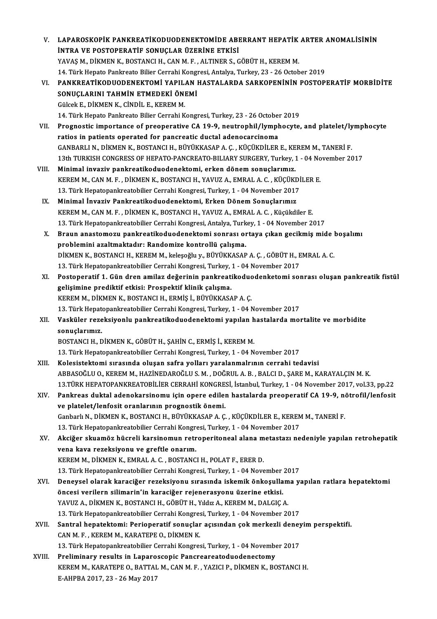| V.     | LAPAROSKOPIK PANKREATIKODUODENEKTOMIDE ABERRANT HEPATIK ARTER ANOMALISININ                             |
|--------|--------------------------------------------------------------------------------------------------------|
|        | <b>İNTRA VE POSTOPERATİF SONUÇLAR ÜZERİNE ETKİSİ</b>                                                   |
|        | YAVAŞ M., DİKMEN K., BOSTANCI H., CAN M. F., ALTINER S., GÖBÜT H., KEREM M.                            |
|        | 14. Türk Hepato Pankreato Bilier Cerrahi Kongresi, Antalya, Turkey, 23 - 26 October 2019               |
| VI.    | PANKREATIKODUODENEKTOMI YAPILAN HASTALARDA SARKOPENININ POSTOPERATIF MORBIDITE                         |
|        | SONUÇLARINI TAHMİN ETMEDEKİ ÖNEMİ                                                                      |
|        | Gülcek E., DİKMEN K., CİNDİL E., KEREM M.                                                              |
|        | 14. Türk Hepato Pankreato Bilier Cerrahi Kongresi, Turkey, 23 - 26 October 2019                        |
| VII.   | Prognostic importance of preoperative CA 19-9, neutrophil/lymphocyte, and platelet/lymphocyte          |
|        | ratios in patients operated for pancreatic ductal adenocarcinoma                                       |
|        | GANBARLI N., DİKMEN K., BOSTANCI H., BÜYÜKKASAP A. Ç., KÜÇÜKDİLER E., KEREM M., TANERİ F.              |
|        | 13th TURKISH CONGRESS OF HEPATO-PANCREATO-BILIARY SURGERY, Turkey, 1 - 04 November 2017                |
| VIII.  | Minimal invaziv pankreatikoduodenektomi, erken dönem sonuçlarımız.                                     |
|        | KEREM M., CAN M. F., DİKMEN K., BOSTANCI H., YAVUZ A., EMRAL A. C., KÜÇÜKDİLER E.                      |
|        | 13. Türk Hepatopankreatobilier Cerrahi Kongresi, Turkey, 1 - 04 November 2017                          |
| IX     | Minimal İnvaziv Pankreatikoduodenektomi, Erken Dönem Sonuçlarımız                                      |
|        | KEREM M., CAN M. F., DİKMEN K., BOSTANCI H., YAVUZ A., EMRAL A. C., Küçükdiler E.                      |
|        | 13. Türk Hepatopankreatobilier Cerrahi Kongresi, Antalya, Turkey, 1 - 04 November 2017                 |
| Х.     | Braun anastomozu pankreatikoduodenektomi sonrası ortaya çıkan gecikmiş mide boşalımı                   |
|        | problemini azaltmaktadır: Randomize kontrollü çalışma.                                                 |
|        | DİKMEN K., BOSTANCI H., KEREM M., keleşoğlu y., BÜYÜKKASAP A. Ç. , GÖBÜT H., EMRAL A. C.               |
|        | 13. Türk Hepatopankreatobilier Cerrahi Kongresi, Turkey, 1 - 04 November 2017                          |
| XI.    | Postoperatif 1. Gün dren amilaz değerinin pankreatikoduodenketomi sonrası oluşan pankreatik fistül     |
|        | gelişimine prediktif etkisi: Prospektif klinik çalışma.                                                |
|        | KEREM M., DİKMEN K., BOSTANCI H., ERMİŞ İ., BÜYÜKKASAP A. Ç.                                           |
|        | 13. Türk Hepatopankreatobilier Cerrahi Kongresi, Turkey, 1 - 04 November 2017                          |
| XII.   | Vasküler rezeksiyonlu pankreatikoduodenektomi yapılan hastalarda mortalite ve morbidite                |
|        | sonuçlarımız.                                                                                          |
|        | BOSTANCI H., DİKMEN K., GÖBÜT H., ŞAHİN C., ERMİŞ İ., KEREM M.                                         |
|        | 13. Türk Hepatopankreatobilier Cerrahi Kongresi, Turkey, 1 - 04 November 2017                          |
| XIII.  | Kolesistektomi sırasında oluşan safra yolları yaralanmalrının cerrahi tedavisi                         |
|        | ABBASOĞLU O., KEREM M., HAZİNEDAROĞLU S. M., DOĞRUL A. B., BALCI D., ŞARE M., KARAYALÇIN M. K.         |
|        | 13. TÜRK HEPATOPANKREATOBİLİER CERRAHİ KONGRESİ, İstanbul, Turkey, 1 - 04 November 2017, vol.33, pp.22 |
| XIV.   | Pankreas duktal adenokarsinomu için opere edilen hastalarda preoperatif CA 19-9, nötrofil/lenfosit     |
|        | ve platelet/lenfosit oranlarının prognostik önemi.                                                     |
|        | Ganbarlı N., DİKMEN K., BOSTANCI H., BÜYÜKKASAP A. Ç., KÜÇÜKDİLER E., KEREM M., TANERİ F.              |
|        | 13. Türk Hepatopankreatobilier Cerrahi Kongresi, Turkey, 1 - 04 November 2017                          |
| XV.    | Akciğer skuamöz hücreli karsinomun retroperitoneal alana metastazı nedeniyle yapılan retrohepatik      |
|        | vena kava rezeksiyonu ve greftle onarım.                                                               |
|        | KEREM M., DİKMEN K., EMRAL A. C., BOSTANCI H., POLAT F., ERER D.                                       |
|        | 13. Türk Hepatopankreatobilier Cerrahi Kongresi, Turkey, 1 - 04 November 2017                          |
| XVI.   | Deneysel olarak karaciğer rezeksiyonu sırasında iskemik önkoşullama yapılan ratlara hepatektomi        |
|        | öncesi verilern silimarin'in karaciğer rejenerasyonu üzerine etkisi.                                   |
|        | YAVUZ A., DİKMEN K., BOSTANCI H., GÖBÜT H., Yıldız A., KEREM M., DALGIÇ A.                             |
|        | 13. Türk Hepatopankreatobilier Cerrahi Kongresi, Turkey, 1 - 04 November 2017                          |
| XVII.  | Santral hepatektomi: Perioperatif sonuçlar açısından çok merkezli deneyim perspektifi.                 |
|        | CAN M. F., KEREM M., KARATEPE O., DİKMEN K.                                                            |
|        | 13. Türk Hepatopankreatobilier Cerrahi Kongresi, Turkey, 1 - 04 November 2017                          |
| XVIII. | Preliminary results in Laparoscopic Pancreareatoduodenectomy                                           |
|        | KEREM M., KARATEPE O., BATTAL M., CAN M. F., YAZICI P., DİKMEN K., BOSTANCI H.                         |
|        | E-AHPBA 2017, 23 - 26 May 2017                                                                         |
|        |                                                                                                        |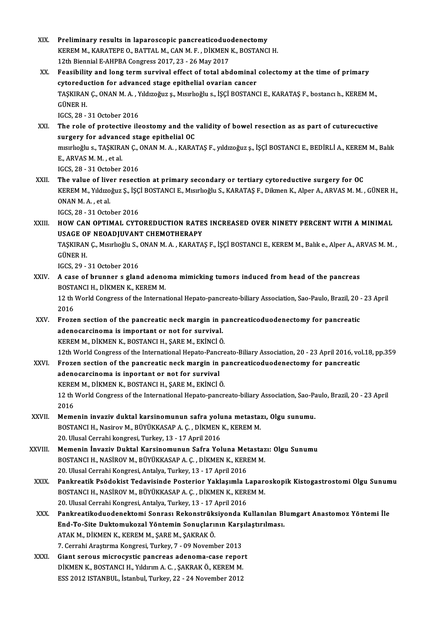XIX. Preliminary results in laparoscopic pancreaticoduodenectomy<br>EXIX. Preliminary results in laparoscopic pancreaticoduodenectomy Preliminary results in laparoscopic pancreaticoduodenectomy<br>KEREM M., KARATEPE O., BATTAL M., CAN M. F. , DİKMEN K., BOSTANCI H.<br>12th Biannial E. AHDBA Congress 2017, 22, 26 May 2017 Preliminary results in laparoscopic pancreaticoduo<br>KEREM M., KARATEPE O., BATTAL M., CAN M. F. , DİKMEN<br>12th Biennial E-AHPBA Congress 2017, 23 - 26 May 2017<br>Essaibility and lang taum survival effect of tatal ab KEREM M., KARATEPE O., BATTAL M., CAN M. F. , DİKMEN K., BOSTANCI H.<br>12th Biennial E-AHPBA Congress 2017, 23 - 26 May 2017<br>XX. Feasibility and long term survival effect of total abdominal colectomy at the time of primary<br>s 12th Biennial E-AHPBA Congress 2017, 23 - 26 May 2017<br>Feasibility and long term survival effect of total abdominal<br>cytoreduction for advanced stage epithelial ovarian cancer<br>TASKIBAN C. ONAN M.A. Vikizoğuz s. Misirliğili s Feasibility and long term survival effect of total abdominal colectomy at the time of primary<br>cytoreduction for advanced stage epithelial ovarian cancer<br>TAŞKIRAN Ç., ONAN M. A. , Yıldızoğuz ş., Mısırlıoğlu s., İŞÇİ BOSTANC cytoreduction for advanced stage epithelial ovarian cancer<br>TAŞKIRAN Ç., ONAN M. A. , Yıldızoğuz ş., Mısırlıoğlu s., İŞÇİ BOSTAN<br>GÜNER H.<br>IGCS, 28 - 31 October 2016 TAŞKIRAN Ç., ONAN M. A. , Y<br>GÜNER H.<br>IGCS, 28 - 31 October 2016<br>The role of protective ile XXI. The role of protective ileostomy and the validity of bowel resection as as part of cuturecuctive surgery for advanced stage epithelial OC The role of protective ileostomy and the validity of bowel resection as as part of cuturecuctive<br>surgery for advanced stage epithelial OC<br>mısırlıoğlu s., TAŞKIRAN Ç., ONAN M. A. , KARATAŞ F., yıldızoğuz ş., İŞÇİ BOSTANCI E surgery for advance<br>misirlioğlu s., TAŞKIRA<br>E., ARVAS M. M. , et al.<br>ICCS 38 - 31 Osteber mısırlıoğlu s., TAŞKIRAN Ç., (<br>E., ARVAS M. M. , et al.<br>IGCS, 28 - 31 October 2016<br>The yalve of liver reseati E., ARVAS M. M., et al.<br>IGCS, 28 - 31 October 2016<br>XXII. The value of liver resection at primary secondary or tertiary cytoreductive surgery for OC<br>E. EREN M. Vildroğus S. İSCİ BOSTANCLE, Meurligğlu S. KARATAS E. Dilmon K. IGCS, 28 - 31 October 2016<br>The value of liver resection at primary secondary or tertiary cytoreductive surgery for OC<br>KEREM M., Yıldızoğuz Ş., İŞÇİ BOSTANCI E., Mısırlıoğlu S., KARATAŞ F., Dikmen K., Alper A., ARVAS M. M. The value of live<br>KEREM M., Yıldızo<br>ONAN M. A. , et al.<br>JCCS 29 - 21 Octo KEREM M., Yıldızoğuz Ş., İŞÇ<br>ONAN M. A. , et al.<br>IGCS, 28 - 31 October 2016<br>HOW CAN OPTIMAL CYT ONAN M. A. , et al.<br>IGCS, 28 - 31 October 2016<br>XXIII. HOW CAN OPTIMAL CYTOREDUCTION RATES INCREASED OVER NINETY PERCENT WITH A MINIMAL USAGE OF NEOADJUVANT CHEMOTHERAPY HOW CAN OPTIMAL CYTOREDUCTION RATES INCREASED OVER NINETY PERCENT WITH A MINIMAL<br>USAGE OF NEOADJUVANT CHEMOTHERAPY<br>TAŞKIRAN Ç., Mısırlıoğlu S., ONAN M. A. , KARATAŞ F., İŞÇİ BOSTANCI E., KEREM M., Balık e., Alper A., ARVAS USAGE ON<br>TAŞKIRAN<br>GÜNER H. TAŞKIRAN Ç., Mısırlıoğlu S., |<br>GÜNER H.<br>IGCS, 29 - 31 October 2016<br>A 5350 of brunner 5 slan GÜNER H.<br>IGCS, 29 - 31 October 2016<br>XXIV. A case of brunner s gland adenoma mimicking tumors induced from head of the pancreas<br>POSTANCLH, DIKMEN K, KEREM M IGCS, 29 - 31 October 2016<br>A case of brunner s gland adeno<br>BOSTANCI H., DİKMEN K., KEREM M.<br>12 th World Congress of the Internat 12 th World Congress of the International Hepato-pancreato-biliary Association, Sao-Paulo, Brazil, 20 - 23 April<br>2016 BOSTANCI H., DİKMEN K., KEREM M. 12 th World Congress of the International Hepato-pancreato-biliary Association, Sao-Paulo, Brazil, 20<br>2016<br>XXV. Frozen section of the pancreatic neck margin in pancreaticoduodenectomy for pancreatic<br>adepearatic material 2016<br>Frozen section of the pancreatic neck margin in p<br>adenocarcinoma is important or not for survival.<br>KEREM M. DİKMEN K. BOSTANCLH, SARE M. EKİNCİ Ö adenocarcinoma is important or not for survival.<br>KEREM M., DİKMEN K., BOSTANCI H., ŞARE M., EKİNCİ Ö. adenocarcinoma is important or not for survival.<br>KEREM M., DİKMEN K., BOSTANCI H., ŞARE M., EKİNCİ Ö.<br>12th World Congress of the International Hepato-Pancreato-Biliary Association, 20 - 23 April 2016, vol.18, pp.359<br>Fregen KEREM M., DİKMEN K., BOSTANCI H., ŞARE M., EKİNCİ Ö.<br>12th World Congress of the International Hepato-Pancreato-Biliary Association, 20 - 23 April 2016, vo<br>2XVI. Frozen section of the pancreatic neck margin in pancreaticodu 12th World Congress of the International Hepato-Panc<br>Frozen section of the pancreatic neck margin in<br>adenocarcinoma is inportant or not for survival<br>EXPEM M. DIVMEN E. POSTANCLH, SARE M. EVINCL Frozen section of the pancreatic neck margin in p<br>adenocarcinoma is inportant or not for survival<br>KEREM M., DİKMEN K., BOSTANCI H., ŞARE M., EKİNCİ Ö.<br>12 th World Congress of the International Henete pangr 12 th World Congress of the International Hepato-pancreato-biliary Association, Sao-Paulo, Brazil, 20 - 23 April<br>12 th World Congress of the International Hepato-pancreato-biliary Association, Sao-Paulo, Brazil, 20 - 23 Ap KEREM M., DİKMEN K., BOSTANCI H., SARE M., EKİNCİ Ö. 12 th World Congress of the International Hepato-pancreato-biliary Association, Sao-Pa<br>2016<br>XXVII. Memenin invaziv duktal karsinomunun safra yoluna metastazı, Olgu sunumu.<br>POSTANCLH Nesipeu M PÜVÜKKASARA C. DİKMEN K. KEREM 2016<br>Memenin invaziv duktal karsinomunun safra yoluna metasta:<br>BOSTANCI H., Nasirov M., BÜYÜKKASAP A. Ç. , DİKMEN K., KEREM M.<br>20 Ulucal Cerrabi kangresi Turkey 13 , 17 April 2016 BOSTANCI H., Nasirov M., BÜYÜKKASAP A. Ç. , DİKMEN K., KEREM M.<br>20. Ulusal Cerrahi kongresi, Turkey, 13 - 17 April 2016 XXVIII. Memenin İnvaziv Duktal Karsinomunun Safra Yoluna Metastazı: Olgu Sunumu BOSTANCI H., NASİROV M., BÜYÜKKASAP A. Ç., DİKMEN K., KEREM M. 20. Ulusal Cerrahi Kongresi, Antalya, Turkey, 13 - 17 April 2016 BOSTANCI H., NASİROV M., BÜYÜKKASAP A. Ç. , DİKMEN K., KEREM M.<br>20. Ulusal Cerrahi Kongresi, Antalya, Turkey, 13 - 17 April 2016<br>XXIX. Pankreatik Psödokist Tedavisinde Posterior Yaklaşımla Laparoskopik Kistogastrostomi 20. Ulusal Cerrahi Kongresi, Antalya, Turkey, 13 - 17 April 2016<br>Pankreatik Psödokist Tedavisinde Posterior Yaklaşımla Laparı<br>BOSTANCI H., NASİROV M., BÜYÜKKASAP A. Ç. , DİKMEN K., KEREM M.<br>20. Ulusal Carrabi Kangresi, Ant Pankreatik Psödokist Tedavisinde Posterior Yaklaşımla L<br>BOSTANCI H., NASİROV M., BÜYÜKKASAP A. Ç. , DİKMEN K., KERI<br>20. Ulusal Cerrahi Kongresi, Antalya, Turkey, 13 - 17 April 2016<br>Pankreatikaduodenektemi Sonrası Pekenetrü BOSTANCI H., NASİROV M., BÜYÜKKASAP A. Ç. , DİKMEN K., KEREM M.<br>20. Ulusal Cerrahi Kongresi, Antalya, Turkey, 13 - 17 April 2016<br>XXX. Pankreatikoduodenektomi Sonrası Rekonstrüksiyonda Kullanılan Blumgart Anastomoz Yönt 20. Ulusal Cerrahi Kongresi, Antalya, Turkey, 13 - 17 April 2016<br>Pankreatikoduodenektomi Sonrası Rekonstrüksiyonda Kullanılan Bl<br>End-To-Site Duktomukozal Yöntemin Sonuçlarının Karşılaştırılması.<br>ATAK M. DİKMEN K. KEREM M. Pankreatikoduodenektomi Sonrası Rekonstrüks<br>End-To-Site Duktomukozal Yöntemin Sonuçlarıı<br>ATAK M., DİKMEN K., KEREM M., ŞARE M., ŞAKRAK Ö.<br>7. Carrabi Arastrma Konsrasi Turkay 7, 00 Navamb End-To-Site Duktomukozal Yöntemin Sonuçlarının Karşılaştırılması.<br>ATAK M., DİKMEN K., KEREM M., ŞARE M., ŞAKRAK Ö.<br>7. Cerrahi Araştırma Kongresi, Turkey, 7 - 09 November 2013<br>Giant serous microcystic pancreas adenoma-case 7. Cerrahi Araştırma Kongresi, Turkey, 7 - 09 November 2013<br>XXXI. Giant serous microcystic pancreas adenoma-case report 7. Cerrahi Araştırma Kongresi, Turkey, 7 - 09 November 2013<br>Giant serous microcystic pancreas adenoma-case repor<br>DİKMEN K., BOSTANCI H., Yıldırım A. C. , ŞAKRAK Ö., KEREM M.<br>ESS 2012 ISTANPUL, İstanbul Turkey, 22, 24 Novem Giant serous microcystic pancreas adenoma-case repor<br>DİKMEN K., BOSTANCI H., Yıldırım A. C. , ŞAKRAK Ö., KEREM M.<br>ESS 2012 ISTANBUL, İstanbul, Turkey, 22 - 24 November 2012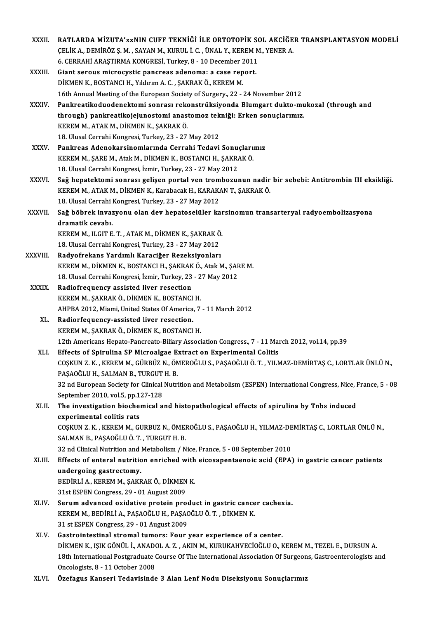| XXXII.       | RATLARDA MİZUTA'XXNIN CUFF TEKNİĞİ İLE ORTOTOPİK SOL AKCIĞER TRANSPLANTASYON MODELİ                               |
|--------------|-------------------------------------------------------------------------------------------------------------------|
|              | ÇELİK A., DEMİRÖZ Ş. M., SAYAN M., KURUL İ. C., ÜNAL Y., KEREM M., YENER A.                                       |
|              | 6. CERRAHI ARAȘTIRMA KONGRESI, Turkey, 8 - 10 December 2011                                                       |
| XXXIII.      | Giant serous microcystic pancreas adenoma: a case report.                                                         |
|              | DİKMEN K., BOSTANCI H., Yıldırım A. C., ŞAKRAK Ö., KEREM M.                                                       |
|              | 16th Annual Meeting of the European Society of Surgery., 22 - 24 November 2012                                    |
| XXXIV.       | Pankreatikoduodenektomi sonrası rekonstrüksiyonda Blumgart dukto-mukozal (through and                             |
|              | through) pankreatikojejunostomi anastomoz tekniği: Erken sonuçlarımız.                                            |
|              | KEREM M., ATAK M., DİKMEN K., ŞAKRAK Ö.                                                                           |
|              | 18. Ulusal Cerrahi Kongresi, Turkey, 23 - 27 May 2012                                                             |
| <b>XXXV</b>  | Pankreas Adenokarsinomlarında Cerrahi Tedavi Sonuçlarımız                                                         |
|              | KEREM M., ŞARE M., Atak M., DİKMEN K., BOSTANCI H., ŞAKRAK Ö.                                                     |
|              | 18. Ulusal Cerrahi Kongresi, İzmir, Turkey, 23 - 27 May 2012                                                      |
| <b>XXXVI</b> | Sağ hepatektomi sonrası gelişen portal ven trombozunun nadir bir sebebi: Antitrombin III eksikliği.               |
|              | KEREM M., ATAK M., DİKMEN K., Karabacak H., KARAKAN T., ŞAKRAK Ö.                                                 |
|              | 18. Ulusal Cerrahi Kongresi, Turkey, 23 - 27 May 2012                                                             |
| XXXVII.      | Sağ böbrek invazyonu olan dev hepatoselüler karsinomun transarteryal radyoembolizasyona                           |
|              | dramatik cevabı.                                                                                                  |
|              | KEREM M., ILGIT E. T., ATAK M., DİKMEN K., ŞAKRAK Ö.                                                              |
|              | 18. Ulusal Cerrahi Kongresi, Turkey, 23 - 27 May 2012                                                             |
| XXXVIII.     | Radyofrekans Yardımlı Karaciğer Rezeksiyonları                                                                    |
|              | KEREM M., DİKMEN K., BOSTANCI H., ŞAKRAK Ö., Atak M., ŞARE M.                                                     |
|              | 18. Ulusal Cerrahi Kongresi, İzmir, Turkey, 23 - 27 May 2012                                                      |
| <b>XXXIX</b> | Radiofrequency assisted liver resection                                                                           |
|              | KEREM M., ŞAKRAK Ö., DİKMEN K., BOSTANCI H.                                                                       |
|              | AHPBA 2012, Miami, United States Of America, 7 - 11 March 2012                                                    |
| XL.          | Radiorfequency-assisted liver resection.                                                                          |
|              | KEREM M., ŞAKRAK Ö., DİKMEN K., BOSTANCI H.                                                                       |
|              | 12th Americans Hepato-Pancreato-Biliary Association Congress., 7 - 11 March 2012, vol.14, pp.39                   |
| XLI.         | Effects of Spirulina SP Microalgae Extract on Experimental Colitis                                                |
|              | COȘKUN Z. K., KEREM M., GÜRBÜZ N., ÖMEROĞLU S., PAŞAOĞLU Ö. T., YILMAZ-DEMIRTAŞ C., LORTLAR ÜNLÜ N.,              |
|              | PAȘAOĞLU H., SALMAN B., TURGUT H. B.                                                                              |
|              | 32 nd European Society for Clinical Nutrition and Metabolism (ESPEN) International Congress, Nice, France, 5 - 08 |
|              | September 2010, vol 5, pp 127-128                                                                                 |
| XLII.        | The investigation biochemical and histopathological effects of spirulina by Tnbs induced                          |
|              | experimental colitis rats                                                                                         |
|              | COȘKUN Z. K., KEREM M., GURBUZ N., ÖMEROĞLU S., PAŞAOĞLU H., YILMAZ-DEMİRTAŞ C., LORTLAR ÜNLÜ N.,                 |
|              | SALMAN B., PAŞAOĞLU Ö. T., TURGUT H. B.                                                                           |
|              | 32 nd Clinical Nutrition and Metabolism / Nice, France, 5 - 08 September 2010                                     |
| XLIII.       | Effects of enteral nutrition enriched with eicosapentaenoic acid (EPA) in gastric cancer patients                 |
|              | undergoing gastrectomy.                                                                                           |
|              | BEDİRLİ A., KEREM M., ŞAKRAK Ö., DİKMEN K.                                                                        |
|              | 31st ESPEN Congress, 29 - 01 August 2009                                                                          |
| XLIV.        | Serum advanced oxidative protein product in gastric cancer cachexia.                                              |
|              | KEREM M., BEDİRLİ A., PAŞAOĞLU H., PAŞAOĞLU Ö. T., DİKMEN K.                                                      |
|              | 31 st ESPEN Congress, 29 - 01 August 2009                                                                         |
| XLV.         | Gastrointestinal stromal tumors: Four year experience of a center.                                                |
|              | DİKMEN K., IŞIK GÖNÜL İ., ANADOL A. Z., AKIN M., KURUKAHVECİOĞLU O., KEREM M., TEZEL E., DURSUN A.                |
|              | 18th International Postgraduate Course Of The International Association Of Surgeons, Gastroenterologists and      |
|              | Oncologists, 8 - 11 October 2008                                                                                  |
| XLVI.        | Özefagus Kanseri Tedavisinde 3 Alan Lenf Nodu Diseksiyonu Sonuçlarımız                                            |